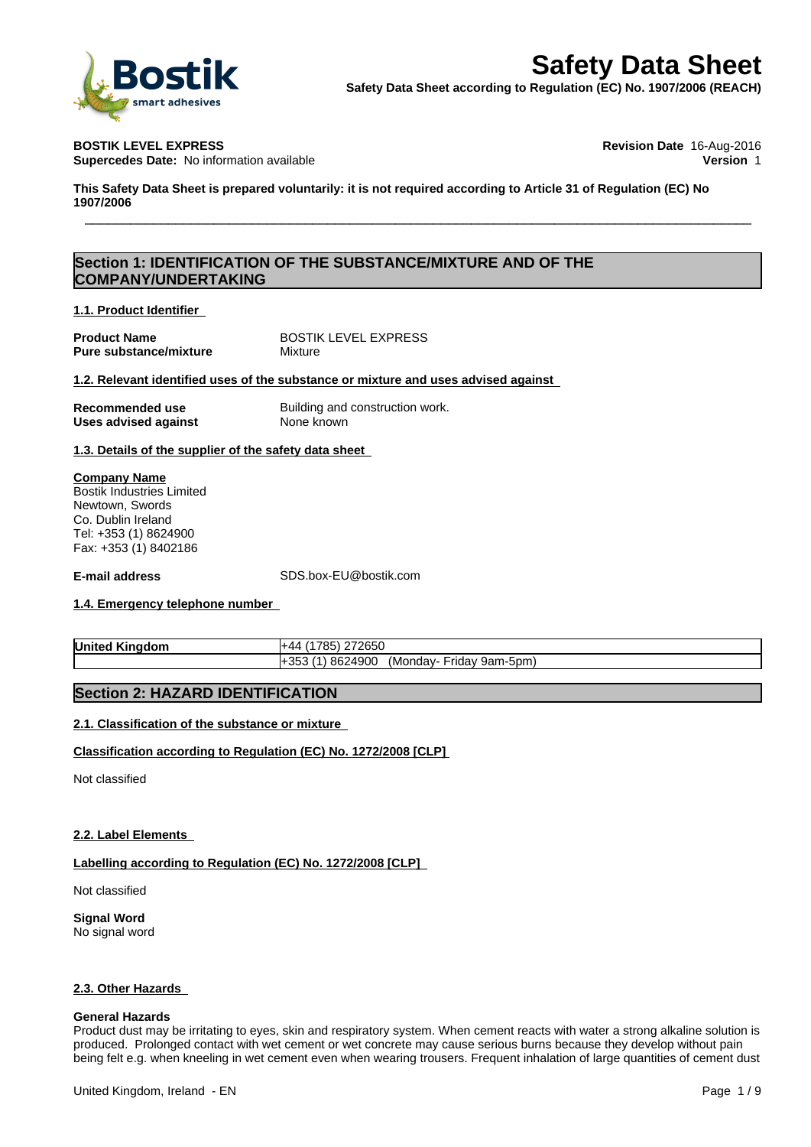

**Supercedes Date:** No information available **Version** 1

**BOSTIK LEVEL EXPRESS Revision Date** 16-Aug-2016

This Safety Data Sheet is prepared voluntarily: it is not required according to Article 31 of Regulation (EC) No **1907/2006 Safety Data Sheet Safety Data Sheet**<br>
Sheet Safety Data Sheet according to Regulation (EC) No. 1907/2006 (REACH)<br>
DSTIK LEVEL EXPRESS<br>
DIS Safety Data Sheet is prepared voluntarily: it is not required according to Article

# **Section 1: IDENTIFICATION OF THE SUBSTANCE/MIXTURE AND OF THE COMPANY/UNDERTAKING**

### **1.1. Product Identifier**

**Pure substance/mixture** Mixture

**Product Name** BOSTIK LEVEL EXPRESS

**1.2. Relevant identified uses of the substance or mixture and uses advised against**

| Recommended use      |  |
|----------------------|--|
| Uses advised against |  |

**Building and construction work. None known** 

**1.3. Details of the supplier of the safety data sheet**

**Company Name** Bostik Industries Limited Newtown, Swords Co. Dublin Ireland Tel: +353 (1) 8624900 Fax: +353 (1) 8402186

**E-mail address** SDS.box-EU@bostik.com

## **1.4. Emergency telephone number**

| Unite<br>.<br>*m.<br>nor<br>o<br>Пr | 27265c<br>:00U                                  |
|-------------------------------------|-------------------------------------------------|
|                                     | 324900<br>. 861<br>9am-5pm<br>ridav<br>Mondav-، |

# **Section 2: HAZARD IDENTIFICATION**

## **2.1. Classification of the substance or mixture**

## **Classification according to Regulation (EC) No. 1272/2008 [CLP]**

Not classified

#### **2.2. Label Elements**

#### **Labelling according to Regulation (EC) No. 1272/2008 [CLP]**

Not classified

**Signal Word** No signal word

#### **2.3. Other Hazards**

#### **General Hazards**

Product dust may be irritating to eyes, skin and respiratory system. When cement reacts with water a strong alkaline solution is produced. Prolonged contact with wet cement or wet concrete may cause serious burns because they develop without pain being felt e.g. when kneeling in wet cement even when wearing trousers. Frequent inhalation of large quantities of cement dust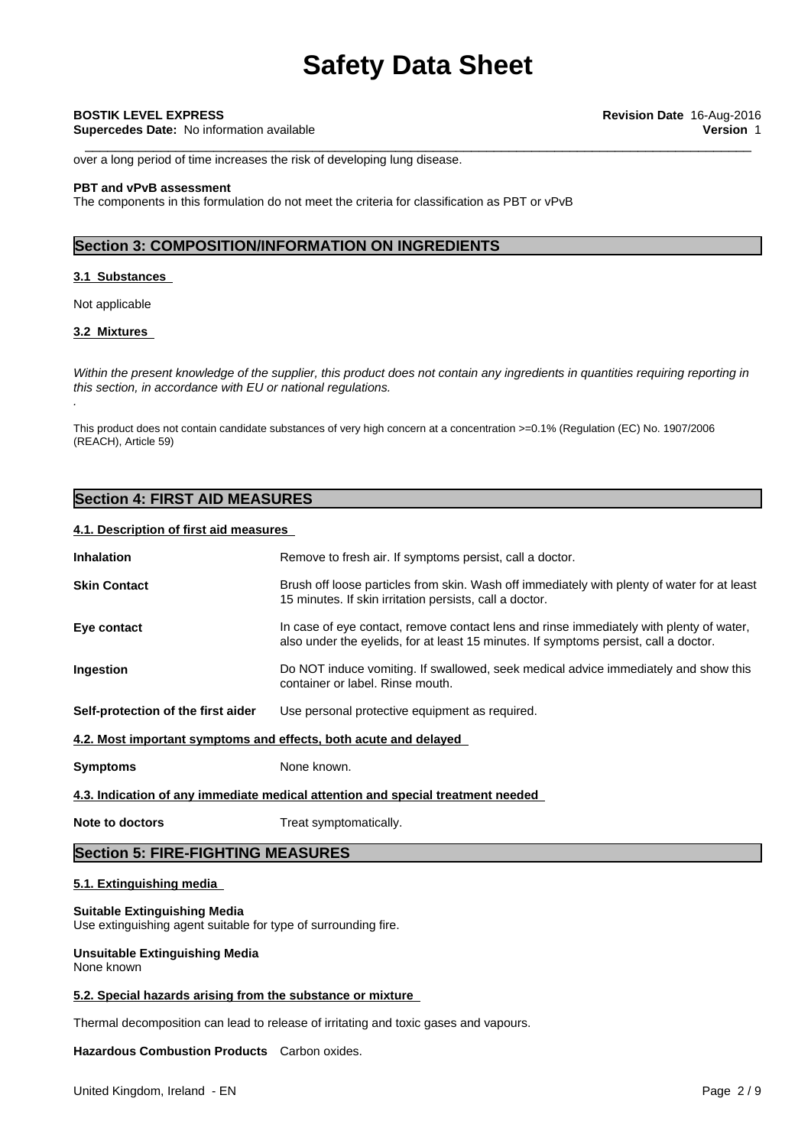**Supercedes Date:** No information available **Version** 1

over a long period of time increases the risk of developing lung disease.

### **PBT and vPvB assessment**

The components in this formulation do not meet the criteria for classification as PBT or vPvB

# **Section 3: COMPOSITION/INFORMATION ON INGREDIENTS**

#### **3.1 Substances**

Not applicable

### **3.2 Mixtures**

*.*

Within the present knowledge of the supplier, this product does not contain any ingredients in quantities requiring reporting in *this section, in accordance with EU or national regulations.*

This product does not contain candidate substances of very high concern at a concentration >=0.1% (Regulation (EC) No. 1907/2006 (REACH), Article 59)

# **Section 4: FIRST AID MEASURES**

### **4.1. Description of first aid measures**

| <b>Inhalation</b>                                                               | Remove to fresh air. If symptoms persist, call a doctor.                                                                                                                        |  |
|---------------------------------------------------------------------------------|---------------------------------------------------------------------------------------------------------------------------------------------------------------------------------|--|
| <b>Skin Contact</b>                                                             | Brush off loose particles from skin. Wash off immediately with plenty of water for at least<br>15 minutes. If skin irritation persists, call a doctor.                          |  |
| Eye contact                                                                     | In case of eye contact, remove contact lens and rinse immediately with plenty of water,<br>also under the eyelids, for at least 15 minutes. If symptoms persist, call a doctor. |  |
| Ingestion                                                                       | Do NOT induce vomiting. If swallowed, seek medical advice immediately and show this<br>container or label. Rinse mouth.                                                         |  |
| Self-protection of the first aider                                              | Use personal protective equipment as required.                                                                                                                                  |  |
| 4.2. Most important symptoms and effects, both acute and delayed                |                                                                                                                                                                                 |  |
| <b>Symptoms</b>                                                                 | None known.                                                                                                                                                                     |  |
| 4.3. Indication of any immediate medical attention and special treatment needed |                                                                                                                                                                                 |  |
| Note to doctors                                                                 | Treat symptomatically.                                                                                                                                                          |  |

# **Section 5: FIRE-FIGHTING MEASURES**

# **5.1. Extinguishing media**

#### **Suitable Extinguishing Media**

Use extinguishing agent suitable for type of surrounding fire.

#### **Unsuitable Extinguishing Media** None known

#### **5.2. Special hazards arising from the substance or mixture**

Thermal decomposition can lead to release of irritating and toxic gases and vapours.

**Hazardous Combustion Products** Carbon oxides.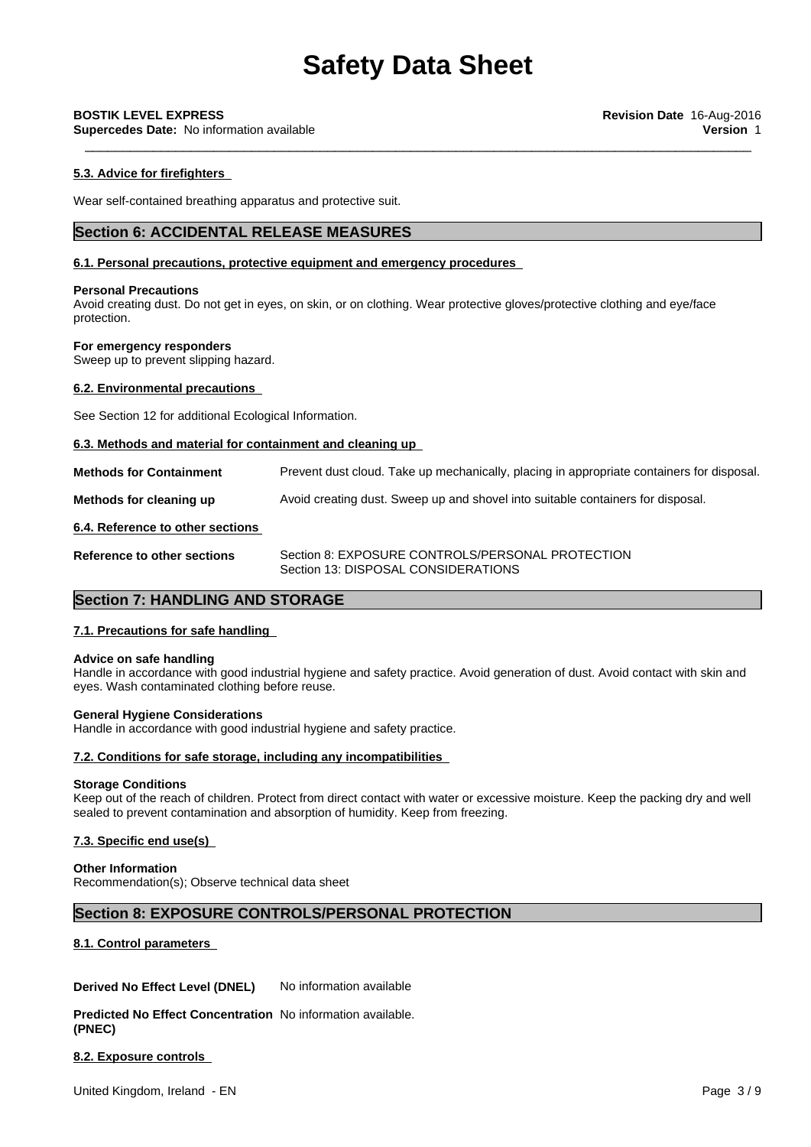**Supercedes Date:** No information available **Version** 1

### **5.3. Advice for firefighters**

Wear self-contained breathing apparatus and protective suit.

# **Section 6: ACCIDENTAL RELEASE MEASURES**

#### **6.1. Personal precautions, protective equipment and emergency procedures**

#### **Personal Precautions**

Avoid creating dust. Do not get in eyes, on skin, or on clothing. Wear protective gloves/protective clothing and eye/face protection.

#### **For emergency responders**

Sweep up to prevent slipping hazard.

#### **6.2. Environmental precautions**

See Section 12 for additional Ecological Information.

#### **6.3. Methods and material for containment and cleaning up**

**Methods for Containment** Prevent dust cloud. Take up mechanically, placing in appropriate containers for disposal.

**Methods for cleaning up** Avoid creating dust. Sweep up and shovel into suitable containers for disposal.

#### **6.4. Reference to other sections**

**Reference to other sections** Section 8: EXPOSURE CONTROLS/PERSONAL PROTECTION Section 13: DISPOSAL CONSIDERATIONS

# **Section 7: HANDLING AND STORAGE**

#### **7.1. Precautions for safe handling**

#### **Advice on safe handling**

Handle in accordance with good industrial hygiene and safety practice. Avoid generation of dust. Avoid contact with skin and eyes. Wash contaminated clothing before reuse.

#### **General Hygiene Considerations**

Handle in accordance with good industrial hygiene and safety practice.

#### **7.2. Conditions for safe storage, including any incompatibilities**

#### **Storage Conditions**

Keep out of the reach of children. Protect from direct contact with water or excessive moisture. Keep the packing dry and well sealed to prevent contamination and absorption of humidity. Keep from freezing.

#### **7.3. Specific end use(s)**

#### **Other Information**

Recommendation(s); Observe technical data sheet

## **Section 8: EXPOSURE CONTROLS/PERSONAL PROTECTION**

#### **8.1. Control parameters**

**Derived No Effect Level (DNEL)** No information available

**Predicted No Effect Concentration** No information available. **(PNEC)**

**8.2. Exposure controls**

United Kingdom, Ireland - EN Page 3/9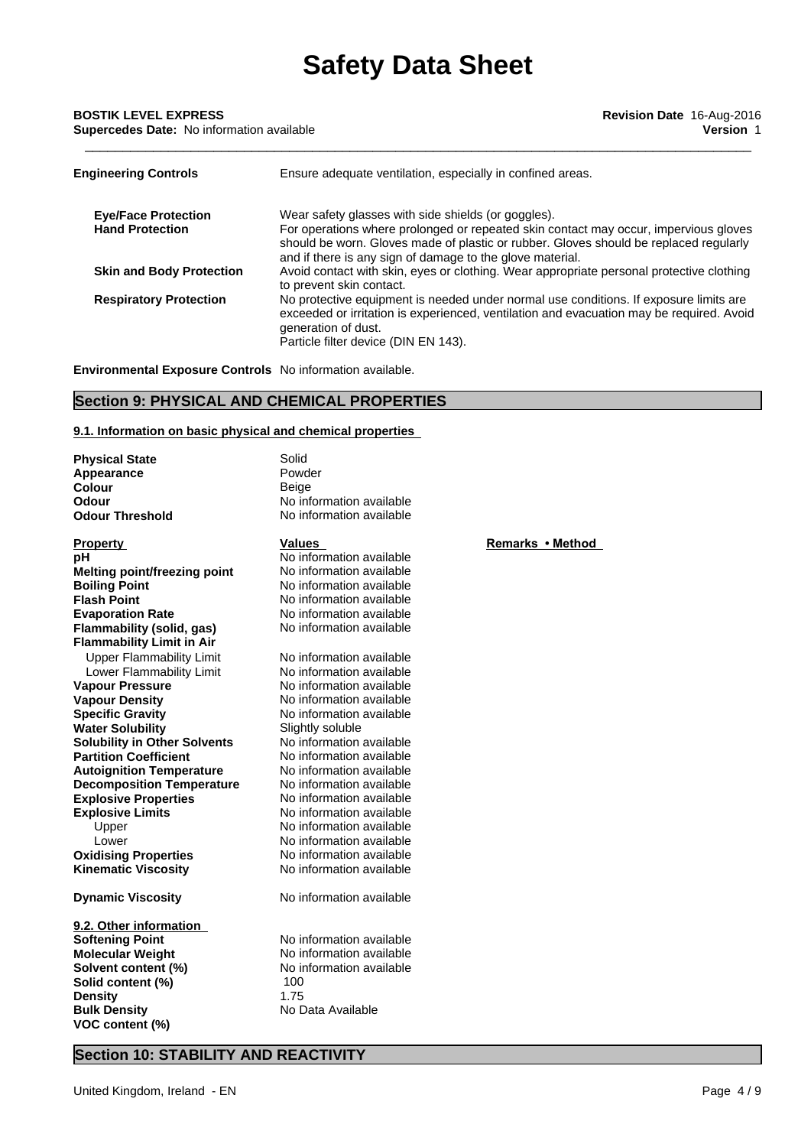**Supercedes Date:** No information available **Version** 1

| <b>Engineering Controls</b>     | Ensure adequate ventilation, especially in confined areas.                                                                                                                                                                                       |
|---------------------------------|--------------------------------------------------------------------------------------------------------------------------------------------------------------------------------------------------------------------------------------------------|
| <b>Eye/Face Protection</b>      | Wear safety glasses with side shields (or goggles).                                                                                                                                                                                              |
| <b>Hand Protection</b>          | For operations where prolonged or repeated skin contact may occur, impervious gloves<br>should be worn. Gloves made of plastic or rubber. Gloves should be replaced regularly<br>and if there is any sign of damage to the glove material.       |
| <b>Skin and Body Protection</b> | Avoid contact with skin, eyes or clothing. Wear appropriate personal protective clothing<br>to prevent skin contact.                                                                                                                             |
| <b>Respiratory Protection</b>   | No protective equipment is needed under normal use conditions. If exposure limits are<br>exceeded or irritation is experienced, ventilation and evacuation may be required. Avoid<br>generation of dust.<br>Particle filter device (DIN EN 143). |

**Environmental Exposure Controls** No information available.

# **Section 9: PHYSICAL AND CHEMICAL PROPERTIES**

#### **9.1. Information on basic physical and chemical properties**

| <b>Physical State</b>               | Solid                    |                  |  |
|-------------------------------------|--------------------------|------------------|--|
| Appearance                          | Powder                   |                  |  |
| Colour                              | Beige                    |                  |  |
| Odour                               | No information available |                  |  |
| <b>Odour Threshold</b>              | No information available |                  |  |
|                                     |                          |                  |  |
| <b>Property</b>                     | <b>Values</b>            | Remarks • Method |  |
| рH                                  | No information available |                  |  |
| <b>Melting point/freezing point</b> | No information available |                  |  |
| <b>Boiling Point</b>                | No information available |                  |  |
| <b>Flash Point</b>                  | No information available |                  |  |
| <b>Evaporation Rate</b>             | No information available |                  |  |
| Flammability (solid, gas)           | No information available |                  |  |
| <b>Flammability Limit in Air</b>    |                          |                  |  |
| <b>Upper Flammability Limit</b>     | No information available |                  |  |
| Lower Flammability Limit            | No information available |                  |  |
| <b>Vapour Pressure</b>              | No information available |                  |  |
| <b>Vapour Density</b>               | No information available |                  |  |
| <b>Specific Gravity</b>             | No information available |                  |  |
| <b>Water Solubility</b>             | Slightly soluble         |                  |  |
| <b>Solubility in Other Solvents</b> | No information available |                  |  |
| <b>Partition Coefficient</b>        | No information available |                  |  |
| <b>Autoignition Temperature</b>     | No information available |                  |  |
| <b>Decomposition Temperature</b>    | No information available |                  |  |
| <b>Explosive Properties</b>         | No information available |                  |  |
| <b>Explosive Limits</b>             | No information available |                  |  |
| Upper                               | No information available |                  |  |
| Lower                               | No information available |                  |  |
| <b>Oxidising Properties</b>         | No information available |                  |  |
| <b>Kinematic Viscosity</b>          | No information available |                  |  |
| <b>Dynamic Viscosity</b>            | No information available |                  |  |
| 9.2. Other information              |                          |                  |  |
| <b>Softening Point</b>              | No information available |                  |  |
| <b>Molecular Weight</b>             | No information available |                  |  |
| Solvent content (%)                 | No information available |                  |  |
| Solid content (%)                   | 100                      |                  |  |
| <b>Density</b>                      | 1.75                     |                  |  |
| <b>Bulk Density</b>                 | No Data Available        |                  |  |
| VOC content (%)                     |                          |                  |  |
|                                     |                          |                  |  |

# **Section 10: STABILITY AND REACTIVITY**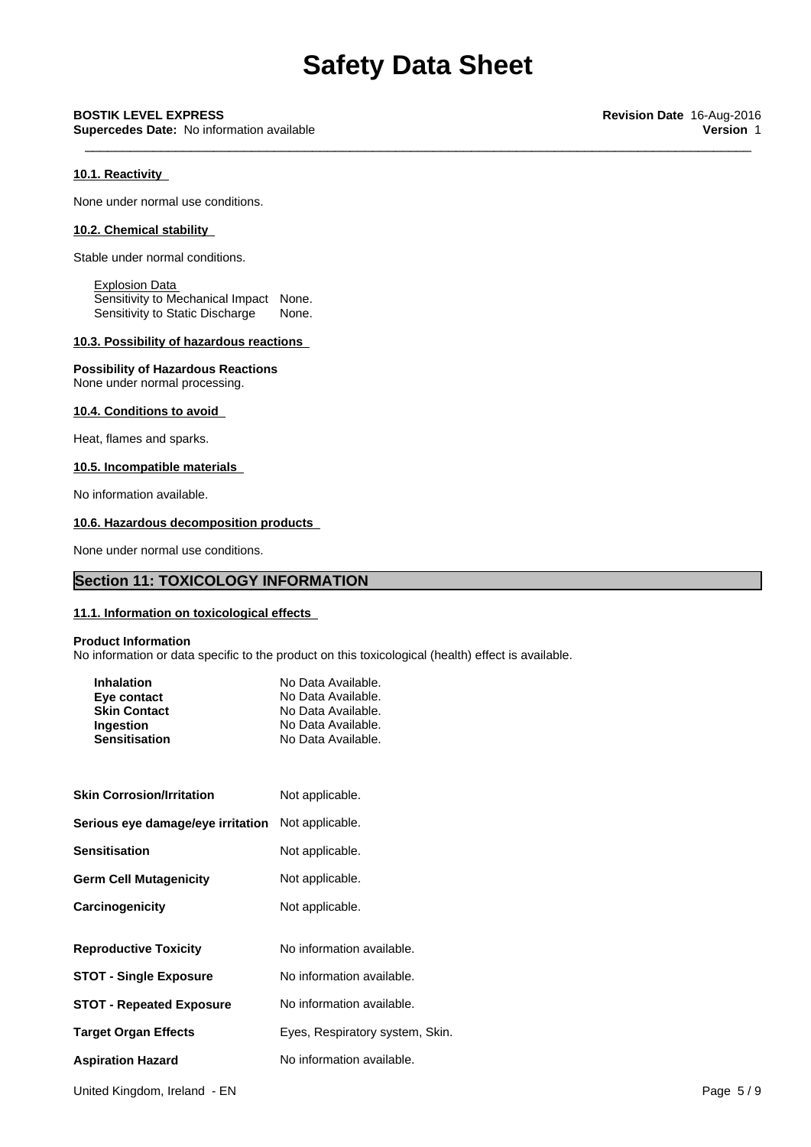**Supercedes Date:** No information available **Version** 1

### **10.1. Reactivity**

None under normal use conditions.

## **10.2. Chemical stability**

Stable under normal conditions.

Explosion Data Sensitivity to Mechanical Impact None. Sensitivity to Static Discharge None.

# **10.3. Possibility of hazardous reactions**

#### **Possibility of Hazardous Reactions**

None under normal processing.

#### **10.4. Conditions to avoid**

Heat, flames and sparks.

# **10.5. Incompatible materials**

No information available.

#### **10.6. Hazardous decomposition products**

None under normal use conditions.

# **Section 11: TOXICOLOGY INFORMATION**

#### **11.1. Information on toxicological effects**

#### **Product Information**

No information or data specific to the product on this toxicological (health) effect is available.

| <b>Inhalation</b><br>Eye contact<br><b>Skin Contact</b> | No Data Available.<br>No Data Available.<br>No Data Available. |
|---------------------------------------------------------|----------------------------------------------------------------|
| Ingestion                                               | No Data Available.                                             |
| <b>Sensitisation</b>                                    | No Data Available.                                             |

| <b>Skin Corrosion/Irritation</b>  | Not applicable.                 |
|-----------------------------------|---------------------------------|
| Serious eye damage/eye irritation | Not applicable.                 |
| <b>Sensitisation</b>              | Not applicable.                 |
| <b>Germ Cell Mutagenicity</b>     | Not applicable.                 |
| Carcinogenicity                   | Not applicable.                 |
|                                   |                                 |
| <b>Reproductive Toxicity</b>      | No information available.       |
| <b>STOT - Single Exposure</b>     | No information available.       |
| <b>STOT - Repeated Exposure</b>   | No information available.       |
| <b>Target Organ Effects</b>       | Eyes, Respiratory system, Skin. |
| <b>Aspiration Hazard</b>          | No information available.       |

United Kingdom, Ireland - EN Page 5 / 9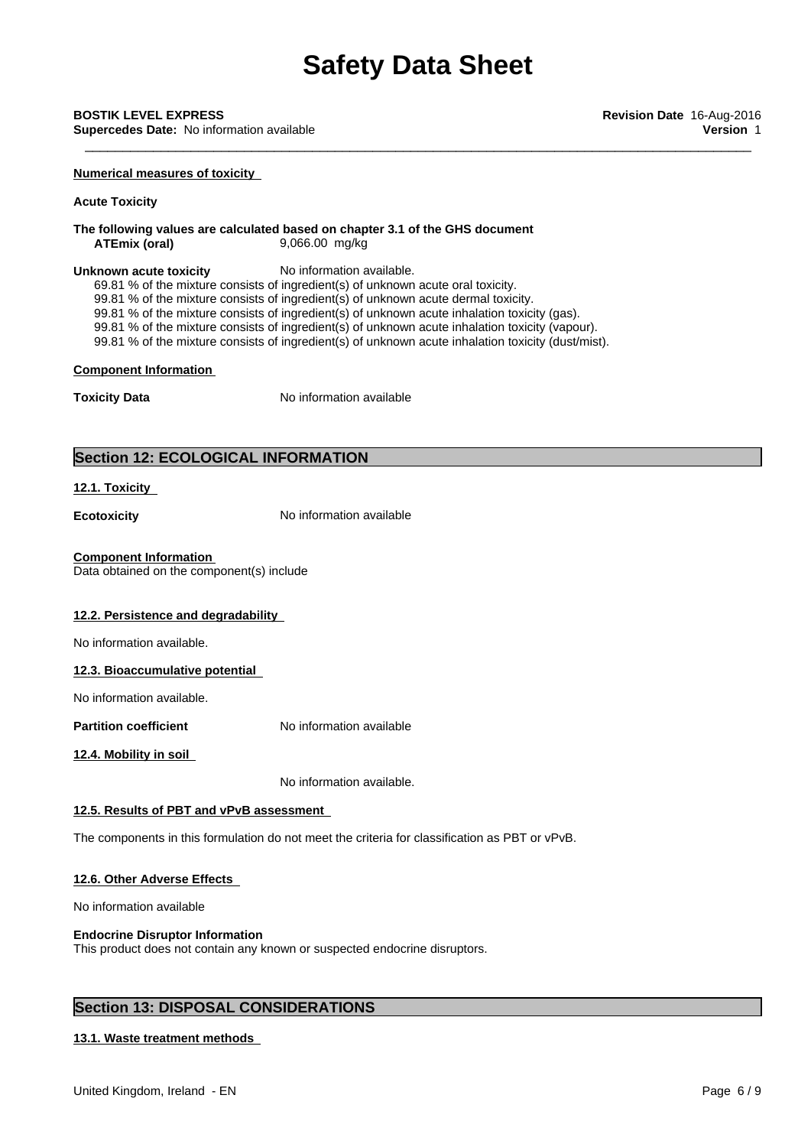\_\_\_\_\_\_\_\_\_\_\_\_\_\_\_\_\_\_\_\_\_\_\_\_\_\_\_\_\_\_\_\_\_\_\_\_\_\_\_\_\_\_\_\_\_\_\_\_\_\_\_\_\_\_\_\_\_\_\_\_\_\_\_\_\_\_\_\_\_\_\_\_\_\_\_\_\_\_\_\_\_\_\_\_\_\_\_\_ **BOSTIK LEVEL EXPRESS Revision Date** 16-Aug-2016 **Supercedes Date:** No information available **Version** 1

**Numerical measures of toxicity**

#### **Acute Toxicity**

**The following values are calculated based on chapter 3.1 of the GHS document ATEmix (oral)** 9,066.00 mg/kg

#### **Unknown acute toxicity** No information available.

69.81 % of the mixture consists of ingredient(s) of unknown acute oral toxicity.

99.81 % of the mixture consists of ingredient(s) of unknown acute dermal toxicity.

99.81 % of the mixture consists of ingredient(s) of unknown acute inhalation toxicity (gas).

99.81 % of the mixture consists of ingredient(s) of unknown acute inhalation toxicity (vapour).

99.81 % of the mixture consists of ingredient(s) of unknown acute inhalation toxicity (dust/mist).

#### **Component Information**

**Toxicity Data** No information available

# **Section 12: ECOLOGICAL INFORMATION**

### **12.1. Toxicity**

**Ecotoxicity No information available** 

### **Component Information**

Data obtained on the component(s) include

## **12.2. Persistence and degradability**

No information available.

#### **12.3. Bioaccumulative potential**

No information available.

**Partition coefficient** No information available

**12.4. Mobility in soil**

No information available.

#### **12.5. Results of PBT and vPvB assessment**

The components in this formulation do not meet the criteria for classification as PBT or vPvB.

#### **12.6. Other Adverse Effects**

No information available

#### **Endocrine Disruptor Information**

This product does not contain any known or suspected endocrine disruptors.

# **Section 13: DISPOSAL CONSIDERATIONS**

# **13.1. Waste treatment methods**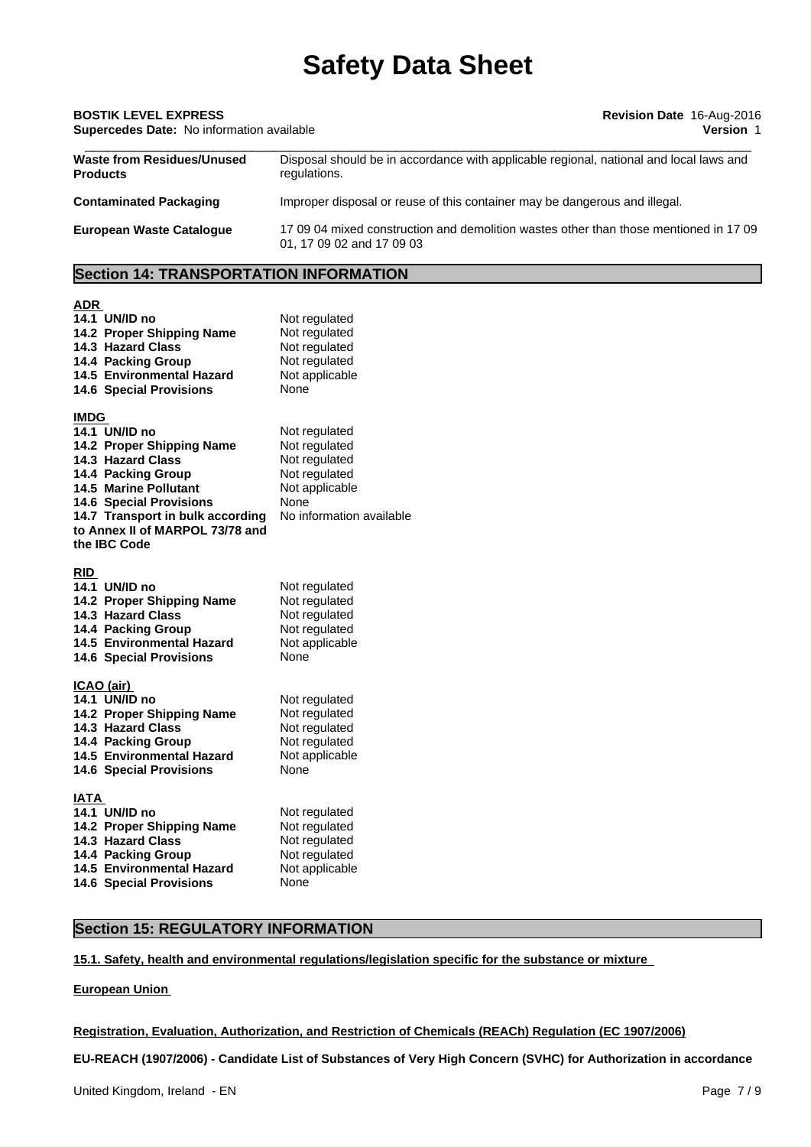# \_\_\_\_\_\_\_\_\_\_\_\_\_\_\_\_\_\_\_\_\_\_\_\_\_\_\_\_\_\_\_\_\_\_\_\_\_\_\_\_\_\_\_\_\_\_\_\_\_\_\_\_\_\_\_\_\_\_\_\_\_\_\_\_\_\_\_\_\_\_\_\_\_\_\_\_\_\_\_\_\_\_\_\_\_\_\_\_ **BOSTIK LEVEL EXPRESS Revision Date** 16-Aug-2016 **Supercedes Date:** No information available **Version** 1 **Waste from Residues/Unused Products** Disposal should be in accordance with applicable regional, national and local laws and regulations. **Contaminated Packaging** Improper disposal or reuse of this container may be dangerous and illegal. **European Waste Catalogue** 17 09 04 mixed construction and demolition wastes other than those mentioned in 17 09

01, 17 09 02 and 17 09 03

# **Section 14: TRANSPORTATION INFORMATION**

#### **ADR**

| 14.1 UN/ID no<br>14.2 Proper Shipping Name<br>14.3 Hazard Class<br>14.4 Packing Group<br>14.5 Environmental Hazard<br><b>14.6 Special Provisions</b> | Not regulated<br>Not regulated<br>Not regulated<br>Not regulated<br>Not applicable<br>None |
|------------------------------------------------------------------------------------------------------------------------------------------------------|--------------------------------------------------------------------------------------------|
| <b>IMDG</b><br>14.1 UN/ID no                                                                                                                         | Not regulated                                                                              |
| 14.2 Proper Shipping Name                                                                                                                            | Not regulated                                                                              |
| 14.3 Hazard Class                                                                                                                                    | Not regulated                                                                              |
| 14.4 Packing Group                                                                                                                                   | Not regulated                                                                              |
| 14.5 Marine Pollutant                                                                                                                                | Not applicable                                                                             |
| <b>14.6 Special Provisions</b>                                                                                                                       | None<br>No information available                                                           |
| 14.7 Transport in bulk according<br>to Annex II of MARPOL 73/78 and                                                                                  |                                                                                            |
| the IBC Code                                                                                                                                         |                                                                                            |
|                                                                                                                                                      |                                                                                            |
| <b>RID</b>                                                                                                                                           |                                                                                            |
| 14.1 UN/ID no                                                                                                                                        | Not regulated                                                                              |
| 14.2 Proper Shipping Name                                                                                                                            | Not regulated                                                                              |
| 14.3 Hazard Class<br>14.4 Packing Group                                                                                                              | Not regulated<br>Not regulated                                                             |
| <b>14.5 Environmental Hazard</b>                                                                                                                     | Not applicable                                                                             |
| <b>14.6 Special Provisions</b>                                                                                                                       | None                                                                                       |
|                                                                                                                                                      |                                                                                            |
| <u>ICAO (air)</u>                                                                                                                                    |                                                                                            |
| 14.1 UN/ID no<br>14.2 Proper Shipping Name                                                                                                           | Not regulated<br>Not regulated                                                             |
| 14.3 Hazard Class                                                                                                                                    | Not regulated                                                                              |
| 14.4 Packing Group                                                                                                                                   | Not regulated                                                                              |
| 14.5 Environmental Hazard                                                                                                                            | Not applicable                                                                             |
| <b>14.6 Special Provisions</b>                                                                                                                       | None                                                                                       |
| <b>IATA</b>                                                                                                                                          |                                                                                            |
| 14.1 UN/ID no                                                                                                                                        | Not regulated                                                                              |
| 14.2 Proper Shipping Name                                                                                                                            | Not regulated                                                                              |
| 14.3 Hazard Class                                                                                                                                    | Not regulated                                                                              |
| 14.4 Packing Group                                                                                                                                   | Not regulated                                                                              |
| 14.5 Environmental Hazard                                                                                                                            | Not applicable                                                                             |
| <b>14.6 Special Provisions</b>                                                                                                                       | None                                                                                       |

# **Section 15: REGULATORY INFORMATION**

# **15.1. Safety, health and environmental regulations/legislation specific for the substance or mixture**

#### **European Union**

# **Registration, Evaluation, Authorization, and Restriction of Chemicals (REACh) Regulation (EC 1907/2006)**

**EU-REACH (1907/2006) - Candidate List of Substances of Very High Concern (SVHC) for Authorization in accordance**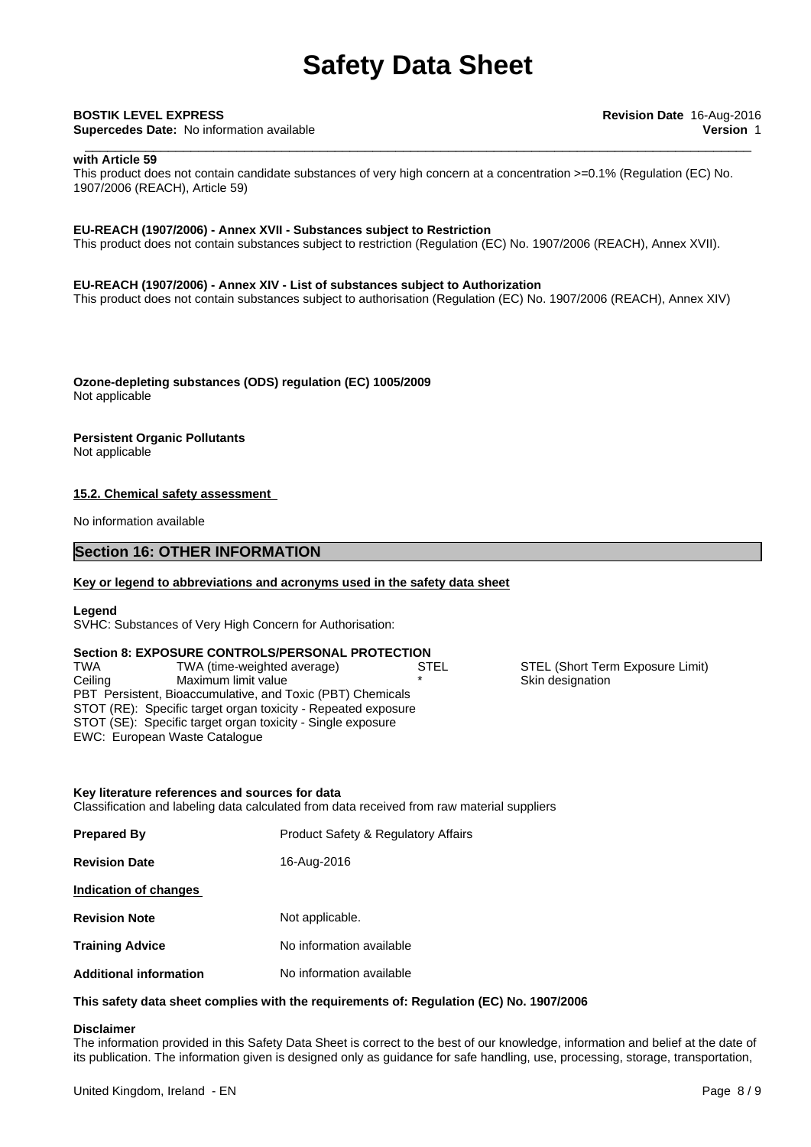**Supercedes Date:** No information available **Version** 1

#### **with Article 59**

This product does not contain candidate substances of very high concern at a concentration >=0.1% (Regulation (EC) No. 1907/2006 (REACH), Article 59)

#### **EU-REACH (1907/2006) - Annex XVII - Substances subject to Restriction**

This product does not contain substances subject to restriction (Regulation (EC) No. 1907/2006 (REACH), Annex XVII).

#### **EU-REACH (1907/2006) - Annex XIV - List of substances subject to Authorization**

This product does not contain substances subject to authorisation (Regulation (EC) No. 1907/2006 (REACH), Annex XIV)

**Ozone-depleting substances (ODS) regulation (EC) 1005/2009** Not applicable

#### **Persistent Organic Pollutants**

Not applicable

#### **15.2. Chemical safety assessment**

No information available

# **Section 16: OTHER INFORMATION**

#### **Key or legend to abbreviations and acronyms used in the safety data sheet**

#### **Legend**

SVHC: Substances of Very High Concern for Authorisation:

**Section 8: EXPOSURE CONTROLS/PERSONAL PROTECTION** PBT Persistent, Bioaccumulative, and Toxic (PBT) Chemicals STOT (RE): Specific target organ toxicity - Repeated exposure STOT (SE): Specific target organ toxicity - Single exposure EWC: European Waste Catalogue TWA TWA (time-weighted average) STEL STEL STEL (Short Term Exposure Limit) Ceiling Maximum limit value **\* \*** Skin designation

#### **Key literature references and sources for data**

Classification and labeling data calculated from data received from raw material suppliers

| <b>Prepared By</b>            | <b>Product Safety &amp; Regulatory Affairs</b> |
|-------------------------------|------------------------------------------------|
| <b>Revision Date</b>          | 16-Aug-2016                                    |
| Indication of changes         |                                                |
| <b>Revision Note</b>          | Not applicable.                                |
| <b>Training Advice</b>        | No information available                       |
| <b>Additional information</b> | No information available                       |

#### **This safety data sheet complies with the requirements of: Regulation (EC) No. 1907/2006**

## **Disclaimer**

The information provided in this Safety Data Sheet is correct to the best of our knowledge, information and belief at the date of its publication. The information given is designed only as guidance for safe handling, use, processing, storage, transportation,